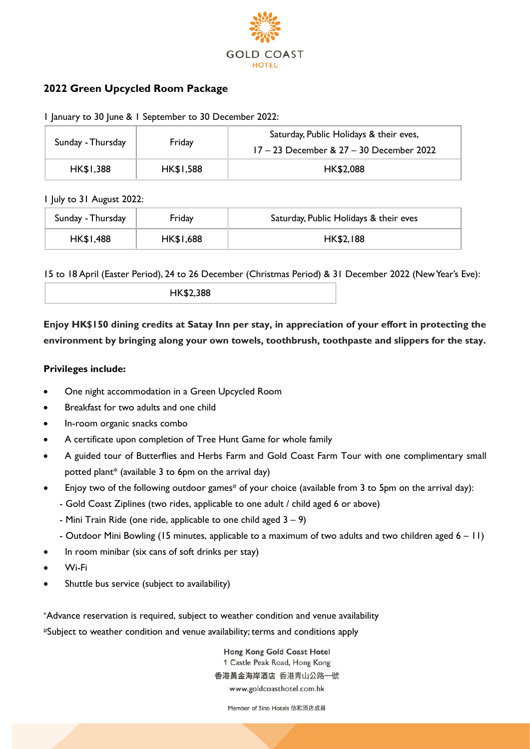

# **2022 Green Upcycled Room Package**

|  |  |  |  |  | I January to 30 June & I September to 30 December 2022: |  |  |  |
|--|--|--|--|--|---------------------------------------------------------|--|--|--|
|--|--|--|--|--|---------------------------------------------------------|--|--|--|

| Sunday - Thursday | Friday           | Saturday, Public Holidays & their eves,<br>17 - 23 December & 27 - 30 December 2022 |
|-------------------|------------------|-------------------------------------------------------------------------------------|
| <b>HK\$1,388</b>  | <b>HK\$1,588</b> | HK\$2,088                                                                           |

#### 1 July to 31 August 2022:

| Sunday - Thursday | Friday    | Saturday, Public Holidays & their eves |  |  |
|-------------------|-----------|----------------------------------------|--|--|
| HK\$1,488         | HK\$1,688 | <b>HK\$2,188</b>                       |  |  |

15 to 18 April (Easter Period), 24 to 26 December (Christmas Period) & 31 December 2022 (New Year's Eve):

**Enjoy HK\$150 dining credits at Satay Inn per stay, in appreciation of your effort in protecting the environment by bringing along your own towels, toothbrush, toothpaste and slippers for the stay.**

## **Privileges include:**

- One night accommodation in a Green Upcycled Room
- Breakfast for two adults and one child
- In-room organic snacks combo
- A certificate upon completion of Tree Hunt Game for whole family
- A guided tour of Butterflies and Herbs Farm and Gold Coast Farm Tour with one complimentary small potted plant\* (available 3 to 6pm on the arrival day)
- Enjoy two of the following outdoor games# of your choice (available from 3 to 5pm on the arrival day):
	- Gold Coast Ziplines (two rides, applicable to one adult / child aged 6 or above)
	- Mini Train Ride (one ride, applicable to one child aged  $3 9$ )
	- Outdoor Mini Bowling (15 minutes, applicable to a maximum of two adults and two children aged 6 11)
- In room minibar (six cans of soft drinks per stay)
- Wi-Fi
- Shuttle bus service (subject to availability)

^Advance reservation is required, subject to weather condition and venue availability #Subject to weather condition and venue availability; terms and conditions apply

> Hong Kong Gold Coast Hotel 1 Castle Peak Road, Hong Kong 香港黃金海岸酒店 香港青山公路一號 www.goldcoasthotel.com.hk

> > Member of Sino Hotels 信和酒店成員